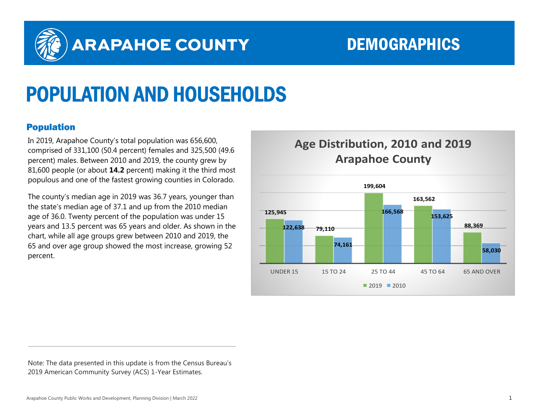

# ARAPAHOE COUNTY DEMOGRAPHICS

# POPULATION AND HOUSEHOLDS

## Population

In 2019, Arapahoe County's total population was 656,600, comprised of 331,100 (50.4 percent) females and 325,500 (49.6 percent) males. Between 2010 and 2019, the county grew by 81,600 people (or about **14.2** percent) making it the third most populous and one of the fastest growing counties in Colorado.

The county's median age in 2019 was 36.7 years, younger than the state's median age of 37.1 and up from the 2010 median age of 36.0. Twenty percent of the population was under 15 years and 13.5 percent was 65 years and older. As shown in the chart, while all age groups grew between 2010 and 2019, the 65 and over age group showed the most increase, growing 52 percent.

# **Age Distribution, 2010 and 2019 Arapahoe County**



Note: The data presented in this update is from the Census Bureau's 2019 American Community Survey (ACS) 1-Year Estimates.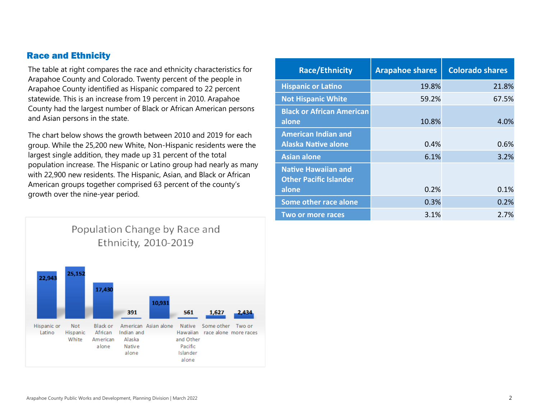### Race and Ethnicity

The table at right compares the race and ethnicity characteristics for Arapahoe County and Colorado. Twenty percent of the people in Arapahoe County identified as Hispanic compared to 22 percent statewide. This is an increase from 19 percent in 2010. Arapahoe County had the largest number of Black or African American persons and Asian persons in the state.

The chart below shows the growth between 2010 and 2019 for each group. While the 25,200 new White, Non-Hispanic residents were the largest single addition, they made up 31 percent of the total population increase. The Hispanic or Latino group had nearly as many with 22,900 new residents. The Hispanic, Asian, and Black or African American groups together comprised 63 percent of the county's growth over the nine-year period.



| <b>Race/Ethnicity</b>                                       | <b>Arapahoe shares</b> | <b>Colorado shares</b> |
|-------------------------------------------------------------|------------------------|------------------------|
| <b>Hispanic or Latino</b>                                   | 19.8%                  | 21.8%                  |
| <b>Not Hispanic White</b>                                   | 59.2%                  | 67.5%                  |
| <b>Black or African American</b><br>alone                   | 10.8%                  | 4.0%                   |
| <b>American Indian and</b><br><b>Alaska Native alone</b>    | 0.4%                   | 0.6%                   |
| <b>Asian alone</b>                                          | 6.1%                   | 3.2%                   |
| <b>Native Hawaiian and</b><br><b>Other Pacific Islander</b> |                        |                        |
| alone                                                       | 0.2%                   | 0.1%                   |
| Some other race alone                                       | 0.3%                   | 0.2%                   |
| <b>Two or more races</b>                                    | 3.1%                   | 2.7%                   |